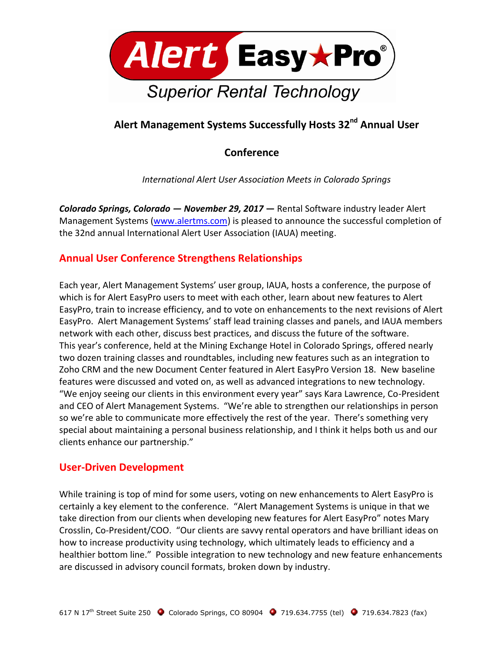

# **Alert Management Systems Successfully Hosts 32nd Annual User**

## **Conference**

*International Alert User Association Meets in Colorado Springs*

*Colorado Springs, Colorado — November 29, 2017* **—** Rental Software industry leader Alert Management Systems [\(www.alertms.com\)](http://www.alertms.com/) is pleased to announce the successful completion of the 32nd annual International Alert User Association (IAUA) meeting.

### **Annual User Conference Strengthens Relationships**

Each year, Alert Management Systems' user group, IAUA, hosts a conference, the purpose of which is for Alert EasyPro users to meet with each other, learn about new features to Alert EasyPro, train to increase efficiency, and to vote on enhancements to the next revisions of Alert EasyPro. Alert Management Systems' staff lead training classes and panels, and IAUA members network with each other, discuss best practices, and discuss the future of the software. This year's conference, held at the Mining Exchange Hotel in Colorado Springs, offered nearly two dozen training classes and roundtables, including new features such as an integration to Zoho CRM and the new Document Center featured in Alert EasyPro Version 18. New baseline features were discussed and voted on, as well as advanced integrations to new technology. "We enjoy seeing our clients in this environment every year" says Kara Lawrence, Co-President and CEO of Alert Management Systems. "We're able to strengthen our relationships in person so we're able to communicate more effectively the rest of the year. There's something very special about maintaining a personal business relationship, and I think it helps both us and our clients enhance our partnership."

### **User-Driven Development**

While training is top of mind for some users, voting on new enhancements to Alert EasyPro is certainly a key element to the conference. "Alert Management Systems is unique in that we take direction from our clients when developing new features for Alert EasyPro" notes Mary Crosslin, Co-President/COO. "Our clients are savvy rental operators and have brilliant ideas on how to increase productivity using technology, which ultimately leads to efficiency and a healthier bottom line." Possible integration to new technology and new feature enhancements are discussed in advisory council formats, broken down by industry.